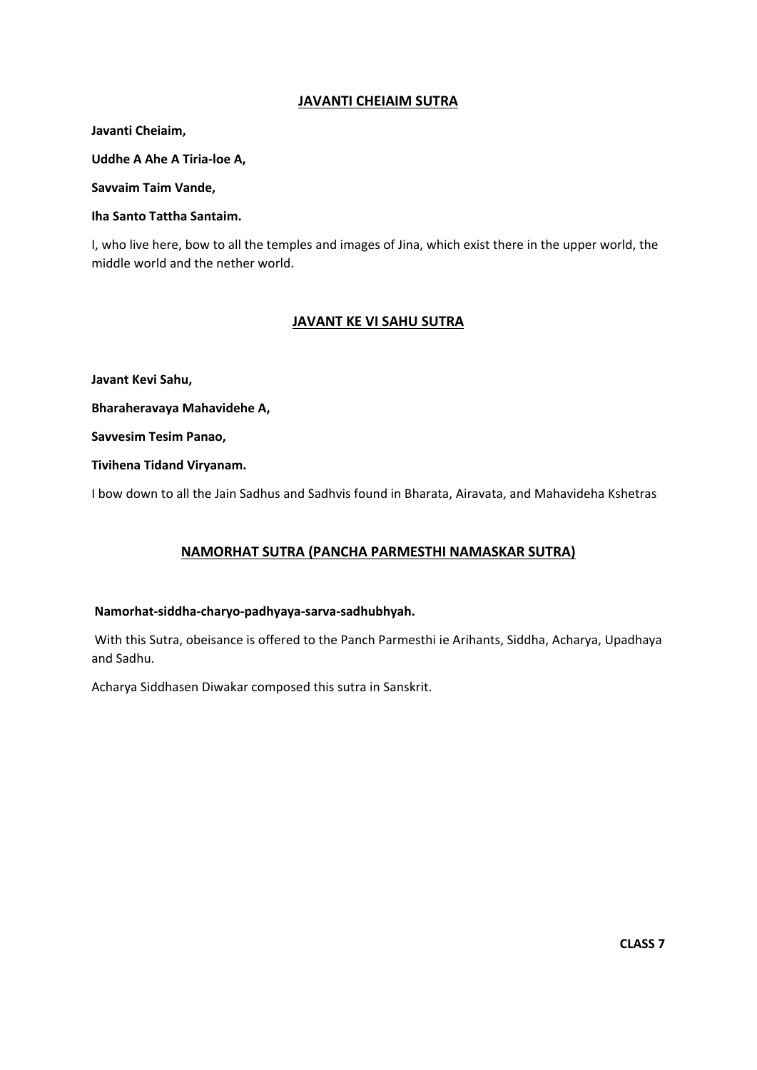### **JAVANTI CHEIAIM SUTRA**

**Javanti Cheiaim,** 

**Uddhe A Ahe A Tiria‐loe A,** 

**Savvaim Taim Vande,** 

#### **Iha Santo Tattha Santaim.**

I, who live here, bow to all the temples and images of Jina, which exist there in the upper world, the middle world and the nether world.

#### **JAVANT KE VI SAHU SUTRA**

**Javant Kevi Sahu,** 

**Bharaheravaya Mahavidehe A,** 

**Savvesim Tesim Panao,** 

**Tivihena Tidand Viryanam.** 

I bow down to all the Jain Sadhus and Sadhvis found in Bharata, Airavata, and Mahavideha Kshetras

### **NAMORHAT SUTRA (PANCHA PARMESTHI NAMASKAR SUTRA)**

#### **Namorhat‐siddha‐charyo‐padhyaya‐sarva‐sadhubhyah.**

 With this Sutra, obeisance is offered to the Panch Parmesthi ie Arihants, Siddha, Acharya, Upadhaya and Sadhu.

Acharya Siddhasen Diwakar composed this sutra in Sanskrit.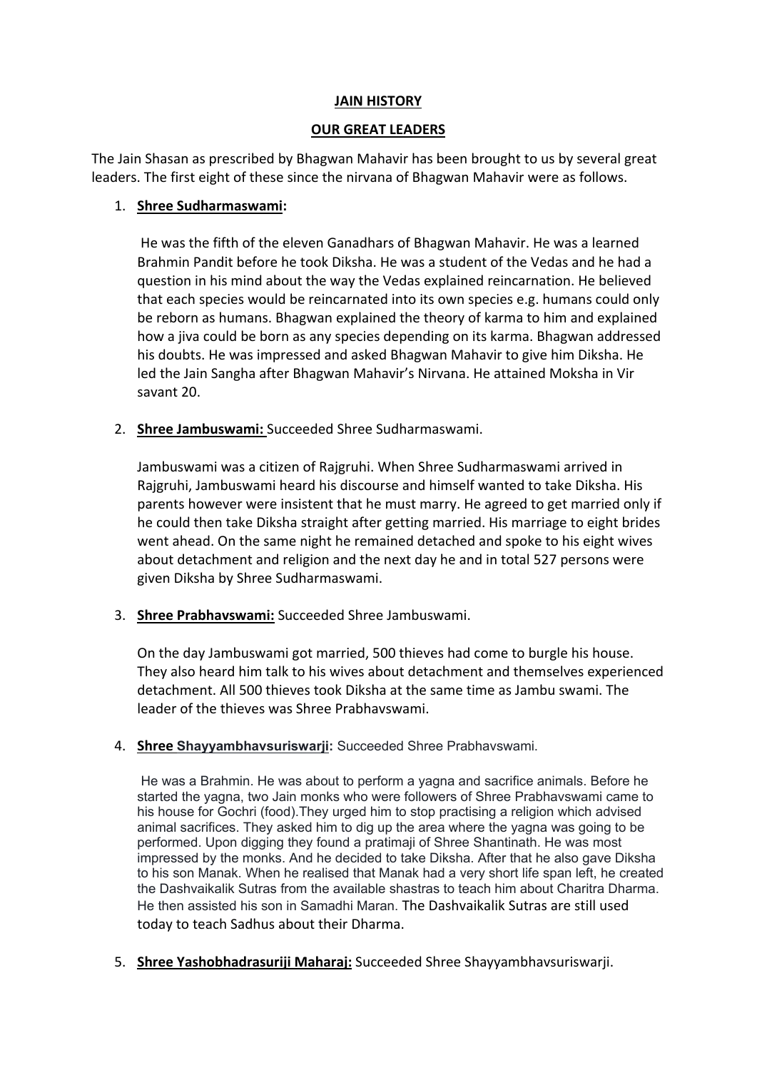## **JAIN HISTORY**

## **OUR GREAT LEADERS**

The Jain Shasan as prescribed by Bhagwan Mahavir has been brought to us by several great leaders. The first eight of these since the nirvana of Bhagwan Mahavir were as follows.

# 1. **Shree Sudharmaswami:**

He was the fifth of the eleven Ganadhars of Bhagwan Mahavir. He was a learned Brahmin Pandit before he took Diksha. He was a student of the Vedas and he had a question in his mind about the way the Vedas explained reincarnation. He believed that each species would be reincarnated into its own species e.g. humans could only be reborn as humans. Bhagwan explained the theory of karma to him and explained how a jiva could be born as any species depending on its karma. Bhagwan addressed his doubts. He was impressed and asked Bhagwan Mahavir to give him Diksha. He led the Jain Sangha after Bhagwan Mahavir's Nirvana. He attained Moksha in Vir savant 20.

2. **Shree Jambuswami:** Succeeded Shree Sudharmaswami.

Jambuswami was a citizen of Rajgruhi. When Shree Sudharmaswami arrived in Rajgruhi, Jambuswami heard his discourse and himself wanted to take Diksha. His parents however were insistent that he must marry. He agreed to get married only if he could then take Diksha straight after getting married. His marriage to eight brides went ahead. On the same night he remained detached and spoke to his eight wives about detachment and religion and the next day he and in total 527 persons were given Diksha by Shree Sudharmaswami.

3. **Shree Prabhavswami:** Succeeded Shree Jambuswami.

On the day Jambuswami got married, 500 thieves had come to burgle his house. They also heard him talk to his wives about detachment and themselves experienced detachment. All 500 thieves took Diksha at the same time as Jambu swami. The leader of the thieves was Shree Prabhavswami.

4. **Shree Shayyambhavsuriswarji:** Succeeded Shree Prabhavswami.

He was a Brahmin. He was about to perform a yagna and sacrifice animals. Before he started the yagna, two Jain monks who were followers of Shree Prabhavswami came to his house for Gochri (food).They urged him to stop practising a religion which advised animal sacrifices. They asked him to dig up the area where the yagna was going to be performed. Upon digging they found a pratimaji of Shree Shantinath. He was most impressed by the monks. And he decided to take Diksha. After that he also gave Diksha to his son Manak. When he realised that Manak had a very short life span left, he created the Dashvaikalik Sutras from the available shastras to teach him about Charitra Dharma. He then assisted his son in Samadhi Maran. The Dashvaikalik Sutras are still used today to teach Sadhus about their Dharma.

5. **Shree Yashobhadrasuriji Maharaj:** Succeeded Shree Shayyambhavsuriswarji.